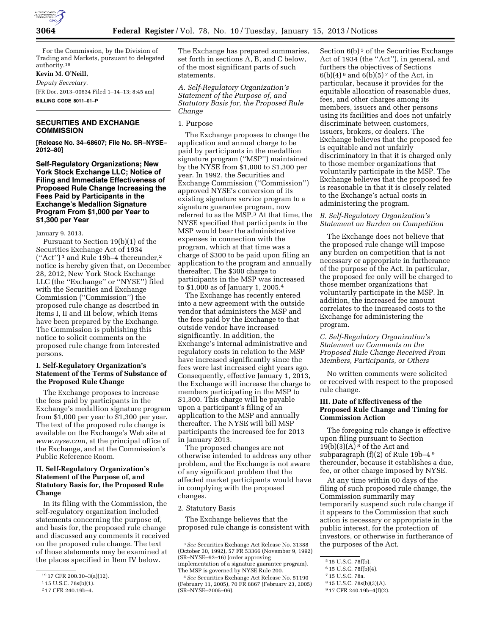

For the Commission, by the Division of Trading and Markets, pursuant to delegated authority.19

# **Kevin M. O'Neill,**

*Deputy Secretary.* 

[FR Doc. 2013–00634 Filed 1–14–13; 8:45 am] **BILLING CODE 8011–01–P** 

# **SECURITIES AND EXCHANGE COMMISSION**

**[Release No. 34–68607; File No. SR–NYSE– 2012–80]** 

**Self-Regulatory Organizations; New York Stock Exchange LLC; Notice of Filing and Immediate Effectiveness of Proposed Rule Change Increasing the Fees Paid by Participants in the Exchange's Medallion Signature Program From \$1,000 per Year to \$1,300 per Year** 

January 9, 2013.

Pursuant to Section 19(b)(1) of the Securities Exchange Act of 1934 (''Act'') 1 and Rule 19b–4 thereunder,2 notice is hereby given that, on December 28, 2012, New York Stock Exchange LLC (the ''Exchange'' or ''NYSE'') filed with the Securities and Exchange Commission (''Commission'') the proposed rule change as described in Items I, II and III below, which Items have been prepared by the Exchange. The Commission is publishing this notice to solicit comments on the proposed rule change from interested persons.

# **I. Self-Regulatory Organization's Statement of the Terms of Substance of the Proposed Rule Change**

The Exchange proposes to increase the fees paid by participants in the Exchange's medallion signature program from \$1,000 per year to \$1,300 per year. The text of the proposed rule change is available on the Exchange's Web site at *[www.nyse.com,](http://www.nyse.com)* at the principal office of the Exchange, and at the Commission's Public Reference Room.

# **II. Self-Regulatory Organization's Statement of the Purpose of, and Statutory Basis for, the Proposed Rule Change**

In its filing with the Commission, the self-regulatory organization included statements concerning the purpose of, and basis for, the proposed rule change and discussed any comments it received on the proposed rule change. The text of those statements may be examined at the places specified in Item IV below.

The Exchange has prepared summaries, set forth in sections A, B, and C below, of the most significant parts of such statements.

*A. Self-Regulatory Organization's Statement of the Purpose of, and Statutory Basis for, the Proposed Rule Change* 

### 1. Purpose

The Exchange proposes to change the application and annual charge to be paid by participants in the medallion signature program (''MSP'') maintained by the NYSE from \$1,000 to \$1,300 per year. In 1992, the Securities and Exchange Commission (''Commission'') approved NYSE's conversion of its existing signature service program to a signature guarantee program, now referred to as the MSP.3 At that time, the NYSE specified that participants in the MSP would bear the administrative expenses in connection with the program, which at that time was a charge of \$300 to be paid upon filing an application to the program and annually thereafter. The \$300 charge to participants in the MSP was increased to \$1,000 as of January 1, 2005.4

The Exchange has recently entered into a new agreement with the outside vendor that administers the MSP and the fees paid by the Exchange to that outside vendor have increased significantly. In addition, the Exchange's internal administrative and regulatory costs in relation to the MSP have increased significantly since the fees were last increased eight years ago. Consequently, effective January 1, 2013, the Exchange will increase the charge to members participating in the MSP to \$1,300. This charge will be payable upon a participant's filing of an application to the MSP and annually thereafter. The NYSE will bill MSP participants the increased fee for 2013 in January 2013.

The proposed changes are not otherwise intended to address any other problem, and the Exchange is not aware of any significant problem that the affected market participants would have in complying with the proposed changes.

#### 2. Statutory Basis

The Exchange believes that the proposed rule change is consistent with

Section 6(b)<sup>5</sup> of the Securities Exchange Act of 1934 (the ''Act''), in general, and furthers the objectives of Sections  $6(b)(4)^6$  and  $6(b)(5)^7$  of the Act, in particular, because it provides for the equitable allocation of reasonable dues, fees, and other charges among its members, issuers and other persons using its facilities and does not unfairly discriminate between customers, issuers, brokers, or dealers. The Exchange believes that the proposed fee is equitable and not unfairly discriminatory in that it is charged only to those member organizations that voluntarily participate in the MSP. The Exchange believes that the proposed fee is reasonable in that it is closely related to the Exchange's actual costs in administering the program.

### *B. Self-Regulatory Organization's Statement on Burden on Competition*

The Exchange does not believe that the proposed rule change will impose any burden on competition that is not necessary or appropriate in furtherance of the purpose of the Act. In particular, the proposed fee only will be charged to those member organizations that voluntarily participate in the MSP. In addition, the increased fee amount correlates to the increased costs to the Exchange for administering the program.

# *C. Self-Regulatory Organization's Statement on Comments on the Proposed Rule Change Received From Members, Participants, or Others*

No written comments were solicited or received with respect to the proposed rule change.

# **III. Date of Effectiveness of the Proposed Rule Change and Timing for Commission Action**

The foregoing rule change is effective upon filing pursuant to Section  $19(b)(3)(A)<sup>8</sup>$  of the Act and subparagraph (f)(2) of Rule 19b–4 9 thereunder, because it establishes a due, fee, or other charge imposed by NYSE.

At any time within 60 days of the filing of such proposed rule change, the Commission summarily may temporarily suspend such rule change if it appears to the Commission that such action is necessary or appropriate in the public interest, for the protection of investors, or otherwise in furtherance of the purposes of the Act.

<sup>19</sup> 17 CFR 200.30–3(a)(12).

<sup>1</sup> 15 U.S.C. 78s(b)(1).

<sup>2</sup> 17 CFR 240.19b–4.

<sup>3</sup>*See* Securities Exchange Act Release No. 31388 (October 30, 1992), 57 FR 53366 (November 9, 1992) (SR–NYSE–92–16) (order approving implementation of a signature guarantee program).

The MSP is governed by NYSE Rule 200. 4*See* Securities Exchange Act Release No. 51190

<sup>(</sup>February 11, 2005), 70 FR 8867 (February 23, 2005) (SR–NYSE–2005–06).

<sup>5</sup> 15 U.S.C. 78f(b).

<sup>6</sup> 15 U.S.C. 78f(b)(4).

<sup>7</sup> 15 U.S.C. 78a.

<sup>8</sup> 15 U.S.C. 78s(b)(3)(A).

<sup>9</sup> 17 CFR 240.19b–4(f)(2).